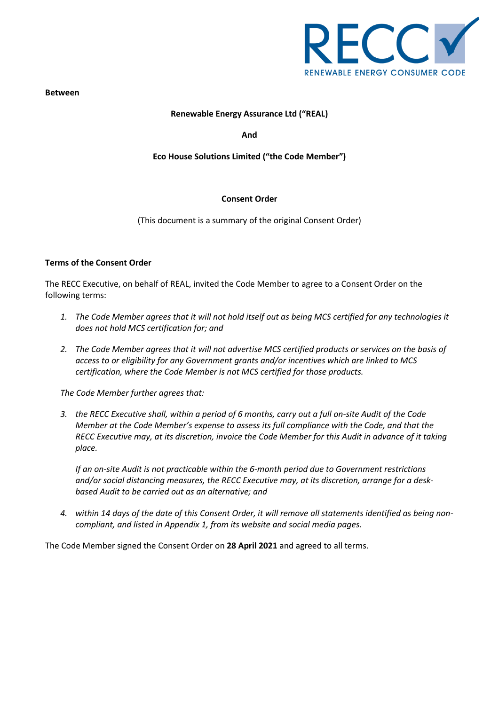

**Between**

## **Renewable Energy Assurance Ltd ("REAL)**

**And**

### **Eco House Solutions Limited ("the Code Member")**

#### **Consent Order**

(This document is a summary of the original Consent Order)

#### **Terms of the Consent Order**

The RECC Executive, on behalf of REAL, invited the Code Member to agree to a Consent Order on the following terms:

- *1. The Code Member agrees that it will not hold itself out as being MCS certified for any technologies it does not hold MCS certification for; and*
- *2. The Code Member agrees that it will not advertise MCS certified products or services on the basis of access to or eligibility for any Government grants and/or incentives which are linked to MCS certification, where the Code Member is not MCS certified for those products.*

*The Code Member further agrees that:*

*3. the RECC Executive shall, within a period of 6 months, carry out a full on-site Audit of the Code Member at the Code Member's expense to assess its full compliance with the Code, and that the RECC Executive may, at its discretion, invoice the Code Member for this Audit in advance of it taking place.*

*If an on-site Audit is not practicable within the 6-month period due to Government restrictions and/or social distancing measures, the RECC Executive may, at its discretion, arrange for a deskbased Audit to be carried out as an alternative; and*

*4. within 14 days of the date of this Consent Order, it will remove all statements identified as being noncompliant, and listed in Appendix 1, from its website and social media pages.*

The Code Member signed the Consent Order on **28 April 2021** and agreed to all terms.